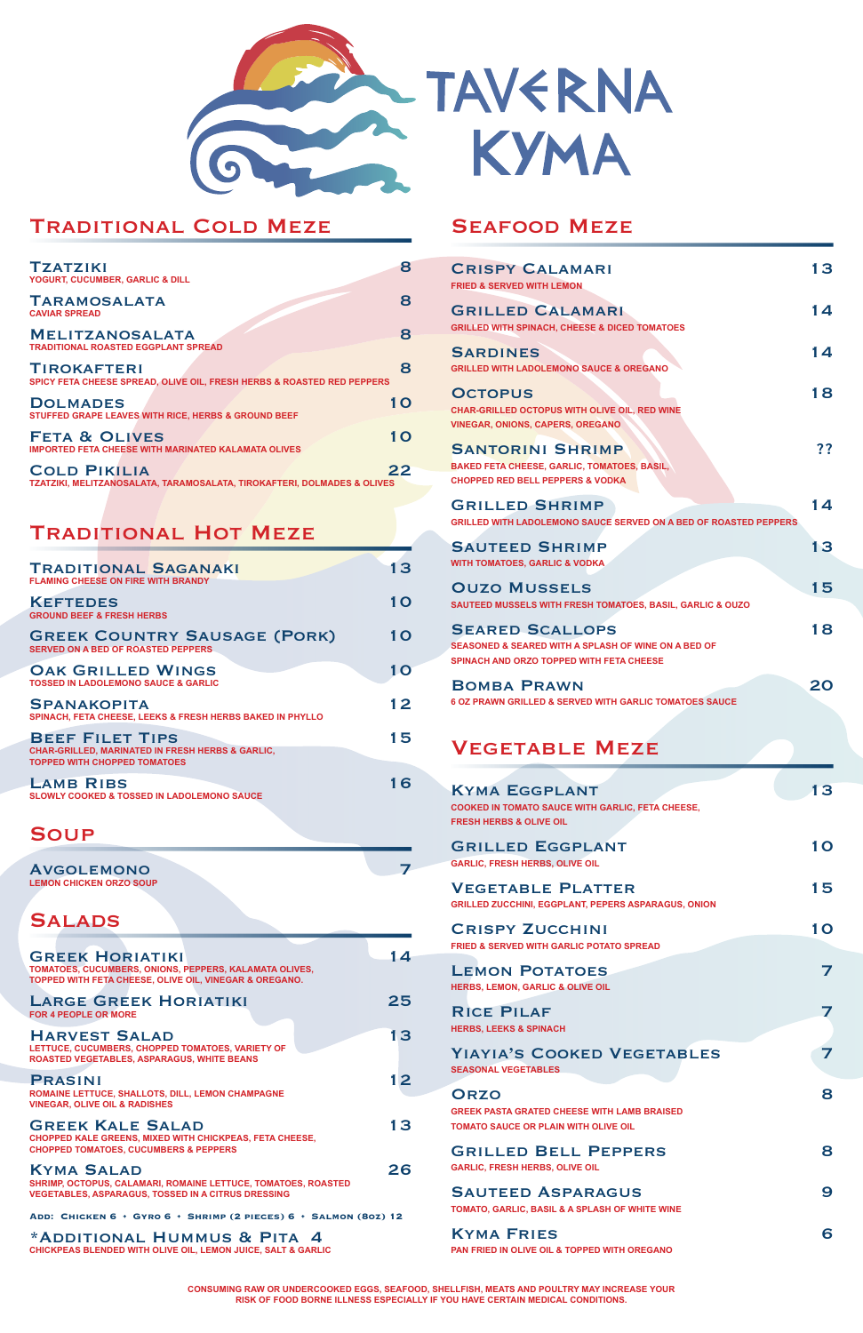

# - TAVERNA **KYMA**

## Traditional Cold Meze

| <b>TZATZIKI</b><br><b>YOGURT, CUCUMBER, GARLIC &amp; DILL</b>                                           | 8         |
|---------------------------------------------------------------------------------------------------------|-----------|
| <b>TARAMOSALATA</b><br><b>CAVIAR SPREAD</b>                                                             | 8         |
| <b>MELITZANOSALATA</b><br><b>TRADITIONAL ROASTED EGGPLANT SPREAD</b>                                    | 8         |
| <b>TIROKAFTERI</b><br><b>SPICY FETA CHEESE SPREAD, OLIVE OIL, FRESH HERBS &amp; ROASTED RED PEPPERS</b> | 8         |
| <b>DOLMADES</b><br>STUFFED GRAPE LEAVES WITH RICE, HERBS & GROUND BEEF                                  | <b>10</b> |
| <b>FETA &amp; OLIVES</b><br><b>IMPORTED FETA CHEESE WITH MARINATED KALAMATA OLIVES</b>                  | 1 O       |
| <b>COLD PIKILIA</b><br>TZATZIKI, MELITZANOSALATA, TARAMOSALATA, TIROKAFTERI, DOLMADES & OLIVES          | 22        |

# Traditional Hot Meze

AVGOLEMONO 2007 **LEMON CHICKEN ORZO SOUP**

# **SALADS**

GREEK HORIATIKI 14 **TOMATOES, CUCUMBERS, ONIONS, PEPPERS, KALAMATA OLIVES,** 

## SEAFOOD MEZE

LARGE GREEK HORIATIKI 25 **FOR 4 PEOPLE OR MORE**

HARVEST SALAD 13 **LETTUCE, CUCUMBERS, CHOPPED TOMATOES, VARIETY OF ROASTED VEGETABLES, ASPARAGUS, WHITE BEANS**

PRASINI 12 **ROMAINE LETTUCE, SHALLOTS, DILL, LEMON CHAMPAGNE VINEGAR, OLIVE OIL & RADISHES**

| <b>TRADITIONAL SAGANAKI</b><br><b>FLAMING CHEESE ON FIRE WITH BRANDY</b>                                                     | 1 3 |
|------------------------------------------------------------------------------------------------------------------------------|-----|
| <b>KEFTEDES</b><br><b>GROUND BEEF &amp; FRESH HERBS</b>                                                                      | 1 O |
| <b>GREEK COUNTRY SAUSAGE (PORK)</b><br><b>SERVED ON A BED OF ROASTED PEPPERS</b>                                             | 1 O |
| <b>OAK GRILLED WINGS</b><br><b>TOSSED IN LADOLEMONO SAUCE &amp; GARLIC</b>                                                   | 10  |
| <b>SPANAKOPITA</b><br><b>SPINACH, FETA CHEESE, LEEKS &amp; FRESH HERBS BAKED IN PHYLLO</b>                                   | 12  |
| <b>BEEF FILET TIPS</b><br><b>CHAR-GRILLED, MARINATED IN FRESH HERBS &amp; GARLIC,</b><br><b>TOPPED WITH CHOPPED TOMATOES</b> | 15  |
| <b>LAMB RIBS</b><br><b>SLOWLY COOKED &amp; TOSSED IN LADOLEMONO SAUCE</b>                                                    |     |

## **SOUP**

GREEK KALE SALAD 13 **CHOPPED KALE GREENS, MIXED WITH CHICKPEAS, FETA CHEESE, CHOPPED TOMATOES, CUCUMBERS & PEPPERS**

KYMA SALAD 26 **SHRIMP, OCTOPUS, CALAMARI, ROMAINE LETTUCE, TOMATOES, ROASTED VEGETABLES, ASPARAGUS, TOSSED IN A CITRUS DRESSING**

**TOPPED WITH FETA CHEESE, OLIVE OIL, VINEGAR & OREGANO.**

RICE PILAF 7 **HERBS, LEEKS & SPINACH**

YIAYIA'S COOKED VEGETABLES 7 **SEASONAL VEGETABLES**

ORZO 8 **GREEK PASTA GRATED CHEESE WITH LAMB BRAISED TOMATO SAUCE OR PLAIN WITH OLIVE OIL**

GRILLED BELL PEPPERS 8 **GARLIC, FRESH HERBS, OLIVE OIL**

SAUTEED ASPARAGUS 9

KYMA FRIES 6 **PAN FRIED IN OLIVE OIL & TOPPED WITH OREGANO**

**Add: Chicken 6 • Gyro 6 • Shrimp (2 pieces) 6 • Salmon (8oz) 12**

\*Additional Hummus & Pita 4 **CHICKPEAS BLENDED WITH OLIVE OIL, LEMON JUICE, SALT & GARLIC**

| <b>CRISPY CALAMARI</b><br><b>FRIED &amp; SERVED WITH LEMON</b>                                                                              | 13        |
|---------------------------------------------------------------------------------------------------------------------------------------------|-----------|
| <b>GRILLED CALAMARI</b><br><b>GRILLED WITH SPINACH, CHEESE &amp; DICED TOMATOES</b>                                                         | 14        |
| <b>SARDINES</b><br><b>GRILLED WITH LADOLEMONO SAUCE &amp; OREGANO</b>                                                                       | 14        |
| <b>OCTOPUS</b><br>CHAR-GRILLED OCTOPUS WITH OLIVE OIL, RED WINE<br><b>VINEGAR, ONIONS, CAPERS, OREGANO</b>                                  | 18        |
| <b>SANTORINI SHRIMP</b><br><b>BAKED FETA CHEESE, GARLIC, TOMATOES, BASIL,</b><br><b>CHOPPED RED BELL PEPPERS &amp; VODKA</b>                | ??        |
| <b>GRILLED SHRIMP</b><br><b>GRILLED WITH LADOLEMONO SAUCE SERVED ON A BED OF ROASTED PEPPERS</b>                                            | 14        |
| <b>SAUTEED SHRIMP</b><br><b>WITH TOMATOES, GARLIC &amp; VODKA</b>                                                                           | 13        |
| <b>OUZO MUSSELS</b><br>SAUTEED MUSSELS WITH FRESH TOMATOES, BASIL, GARLIC & OUZO                                                            | 15        |
| <b>SEARED SCALLOPS</b><br><b>SEASONED &amp; SEARED WITH A SPLASH OF WINE ON A BED OF</b><br><b>SPINACH AND ORZO TOPPED WITH FETA CHEESE</b> | 18        |
| <b>BOMBA PRAWN</b><br><b>6 OZ PRAWN GRILLED &amp; SERVED WITH GARLIC TOMATOES SAUCE</b>                                                     | 20        |
| <b>VEGETABLE MEZE</b>                                                                                                                       |           |
| <b>KYMA EGGPLANT</b><br>COOKED IN TOMATO SAUCE WITH GARLIC, FETA CHEESE,<br><b>FRESH HERBS &amp; OLIVE OIL</b>                              | 13        |
| <b>GRILLED EGGPLANT</b><br><b>GARLIC, FRESH HERBS, OLIVE OIL</b>                                                                            | <b>10</b> |
| <b>VEGETABLE PLATTER</b><br><b>GRILLED ZUCCHINI, EGGPLANT, PEPERS ASPARAGUS, ONION</b>                                                      | 15        |
| <b>CRISPY ZUCCHINI</b><br><b>FRIED &amp; SERVED WITH GARLIC POTATO SPREAD</b>                                                               | 10        |
| <b>LEMON POTATOES</b><br>EMON CABLIC & OLIVE OIL                                                                                            |           |

**HERBS, LEMON, GARLIC & OLIVE OIL**

**TOMATO, GARLIC, BASIL & A SPLASH OF WHITE WINE**

**CONSUMING RAW OR UNDERCOOKED EGGS, SEAFOOD, SHELLFISH, MEATS AND POULTRY MAY INCREASE YOUR RISK OF FOOD BORNE ILLNESS ESPECIALLY IF YOU HAVE CERTAIN MEDICAL CONDITIONS.**